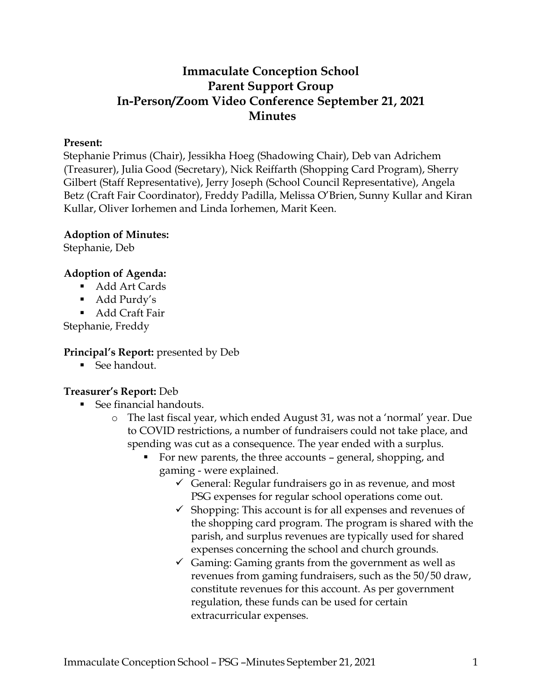# **Immaculate Conception School Parent Support Group In-Person/Zoom Video Conference September 21, 2021 Minutes**

#### **Present:**

Stephanie Primus (Chair), Jessikha Hoeg (Shadowing Chair), Deb van Adrichem (Treasurer), Julia Good (Secretary), Nick Reiffarth (Shopping Card Program), Sherry Gilbert (Staff Representative), Jerry Joseph (School Council Representative), Angela Betz (Craft Fair Coordinator), Freddy Padilla, Melissa O'Brien, Sunny Kullar and Kiran Kullar, Oliver Iorhemen and Linda Iorhemen, Marit Keen.

#### **Adoption of Minutes:**

Stephanie, Deb

## **Adoption of Agenda:**

- Add Art Cards
- Add Purdy's

■ Add Craft Fair

Stephanie, Freddy

### **Principal's Report:** presented by Deb

■ See handout.

### **Treasurer's Report:** Deb

- See financial handouts.
	- o The last fiscal year, which ended August 31, was not a 'normal' year. Due to COVID restrictions, a number of fundraisers could not take place, and spending was cut as a consequence. The year ended with a surplus.
		- For new parents, the three accounts general, shopping, and gaming - were explained.
			- General: Regular fundraisers go in as revenue, and most PSG expenses for regular school operations come out.
			- $\checkmark$  Shopping: This account is for all expenses and revenues of the shopping card program. The program is shared with the parish, and surplus revenues are typically used for shared expenses concerning the school and church grounds.
			- $\checkmark$  Gaming: Gaming grants from the government as well as revenues from gaming fundraisers, such as the 50/50 draw, constitute revenues for this account. As per government regulation, these funds can be used for certain extracurricular expenses.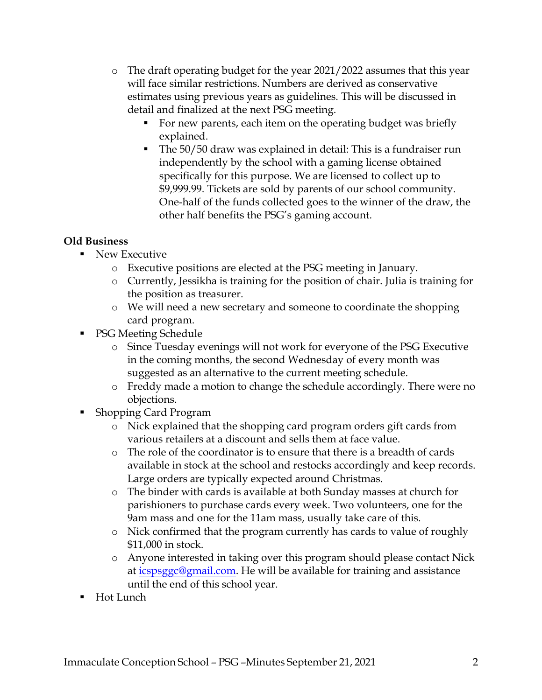- o The draft operating budget for the year 2021/2022 assumes that this year will face similar restrictions. Numbers are derived as conservative estimates using previous years as guidelines. This will be discussed in detail and finalized at the next PSG meeting.
	- For new parents, each item on the operating budget was briefly explained.
	- The 50/50 draw was explained in detail: This is a fundraiser run independently by the school with a gaming license obtained specifically for this purpose. We are licensed to collect up to \$9,999.99. Tickets are sold by parents of our school community. One-half of the funds collected goes to the winner of the draw, the other half benefits the PSG's gaming account.

# **Old Business**

- New Executive
	- o Executive positions are elected at the PSG meeting in January.
	- o Currently, Jessikha is training for the position of chair. Julia is training for the position as treasurer.
	- o We will need a new secretary and someone to coordinate the shopping card program.
- **PSG Meeting Schedule** 
	- o Since Tuesday evenings will not work for everyone of the PSG Executive in the coming months, the second Wednesday of every month was suggested as an alternative to the current meeting schedule.
	- o Freddy made a motion to change the schedule accordingly. There were no objections.
- Shopping Card Program
	- o Nick explained that the shopping card program orders gift cards from various retailers at a discount and sells them at face value.
	- o The role of the coordinator is to ensure that there is a breadth of cards available in stock at the school and restocks accordingly and keep records. Large orders are typically expected around Christmas.
	- o The binder with cards is available at both Sunday masses at church for parishioners to purchase cards every week. Two volunteers, one for the 9am mass and one for the 11am mass, usually take care of this.
	- o Nick confirmed that the program currently has cards to value of roughly \$11,000 in stock.
	- o Anyone interested in taking over this program should please contact Nick at [icspsggc@gmail.com.](mailto:icspsggc@gmail.com) He will be available for training and assistance until the end of this school year.
- Hot Lunch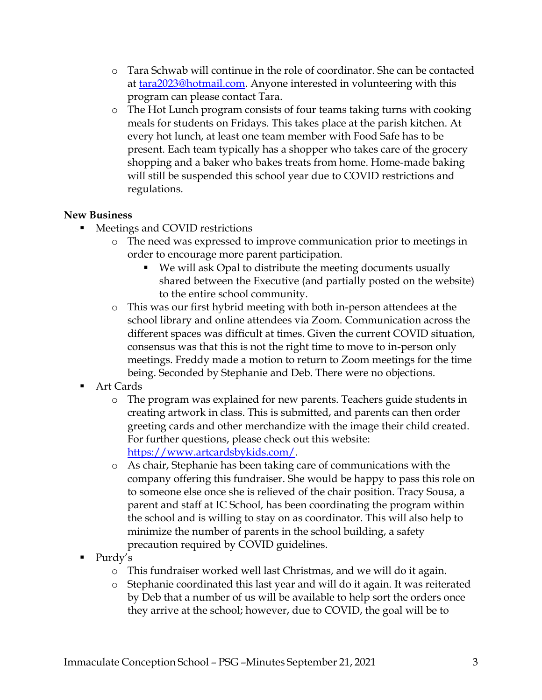- o Tara Schwab will continue in the role of coordinator. She can be contacted at [tara2023@hotmail.com.](mailto:tara2023@hotmail.com) Anyone interested in volunteering with this program can please contact Tara.
- o The Hot Lunch program consists of four teams taking turns with cooking meals for students on Fridays. This takes place at the parish kitchen. At every hot lunch, at least one team member with Food Safe has to be present. Each team typically has a shopper who takes care of the grocery shopping and a baker who bakes treats from home. Home-made baking will still be suspended this school year due to COVID restrictions and regulations.

# **New Business**

- Meetings and COVID restrictions
	- o The need was expressed to improve communication prior to meetings in order to encourage more parent participation.
		- We will ask Opal to distribute the meeting documents usually shared between the Executive (and partially posted on the website) to the entire school community.
	- o This was our first hybrid meeting with both in-person attendees at the school library and online attendees via Zoom. Communication across the different spaces was difficult at times. Given the current COVID situation, consensus was that this is not the right time to move to in-person only meetings. Freddy made a motion to return to Zoom meetings for the time being. Seconded by Stephanie and Deb. There were no objections.
- Art Cards
	- o The program was explained for new parents. Teachers guide students in creating artwork in class. This is submitted, and parents can then order greeting cards and other merchandize with the image their child created. For further questions, please check out this website: [https://www.artcardsbykids.com/.](https://www.artcardsbykids.com/)
	- o As chair, Stephanie has been taking care of communications with the company offering this fundraiser. She would be happy to pass this role on to someone else once she is relieved of the chair position. Tracy Sousa, a parent and staff at IC School, has been coordinating the program within the school and is willing to stay on as coordinator. This will also help to minimize the number of parents in the school building, a safety precaution required by COVID guidelines.
- Purdy's
	- o This fundraiser worked well last Christmas, and we will do it again.
	- o Stephanie coordinated this last year and will do it again. It was reiterated by Deb that a number of us will be available to help sort the orders once they arrive at the school; however, due to COVID, the goal will be to